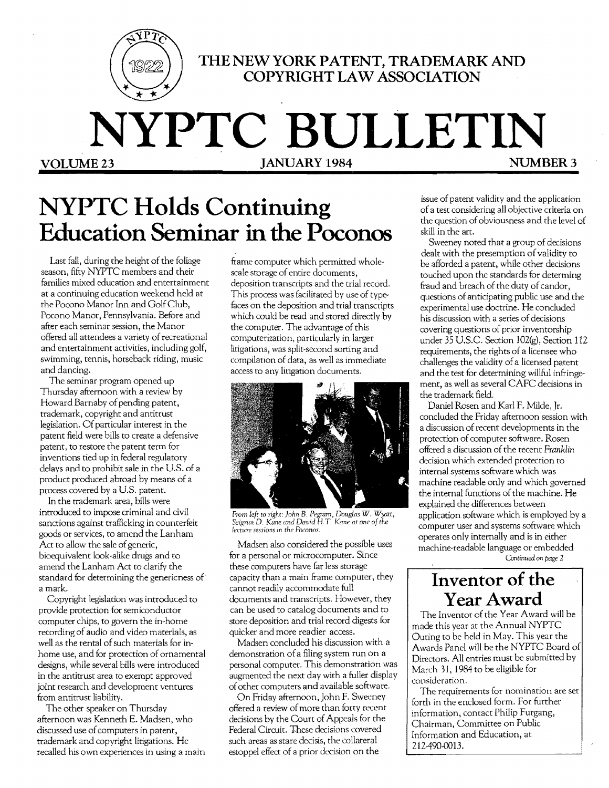

**THE NEW YORK PATENT, TRADEMARK AND COPYRIGHT LA W ASSOCIATION** 

# **NYPTC BULLETIN**

**JANUARY 1984** 

# **NYPTC Holds Continuing Education Seminar in the Poconos**

Last fall, during the height of the foliage season, fifty NYPTC members and their families mixed education and entertainment at a continuing education weekend held at the Pocono Manor Inn and GolfClub, Pocono Manor, Pennsylvania. Before and after each seminar session, the Manor offered all attendees a variety of recreational and entertainment activities, including golf, swimming, tennis, horseback riding, music and dancing.

The seminar program opened up Thursday afternoon with a review by Howard Barnaby of pending patent, trademark, copyright and antitrust legislation. Of particular interest in the patent field were bills to create a defensive patent, to restore the patent term for inventions tied up in federal regulatory delays and to prohibit sale in the US. of a product produced abroad by means of a process covered by a U.S. patent.

In the trademark area, bills were introduced to impose criminal and civil sanctions against trafficking in counterfeit goods or services, to amend the Lanham Act to allow the sale of generic, bioequivalent look-alike drugs and to amend the Lanham Act to clarify the standard for determining the genericness of a mark.

Copyright legislation was introduced to provide protection for semiconductor computer chips, to govern the in-home recording of audio and video materials, as well as the rental of such materials for inhome use, and for protection of ornamental designs, while several bills were introduced in the antitrust area to exempt approved joint research and development ventures from antitrust liability.

The other speaker on Thursday afternoon was Kenneth E. Madsen, who discussed use of computers in patent, trademark and copyright litigations. He recalled his own experiences in using a main

frame computer which permitted wholescale storage of entire documents, deposition transcripts and the trial record. This process was facilitated by use of typefaces on the deposition and trial transcripts which could be read and stored directly by the computer. The advantage of this computerization, particularly in larger litigations, was split-second sorting and compilation of data, as well as immediate access to any litigation documents.



From left to right: John B. Pegram, Douglas W. Wyatt,<br>Seigrun D. Kane and David H.T. Kane at one of the<br>lecture sessions in the Poconos.

Madsen also considered the possible uses for a personal or microcomputer. Since these computers have far less storage capacity than a main frame computer, they cannot readily accommodate full documents and transcripts. However, they can be used to catalog documents and to store deposition and trial record digests for quicker and more readier access.

Madsen concluded his discussion with a demonstration of a filing system run on a personal computer. This demonstration was augmented the next day with a fuller display ofother computers and available software.

On Friday afternoon, John F. Sweeney offered a review ofmore than forty recent decisions by the Court of Appeals for the Federal Circuit. These decisions covered such areas as stare decisis, the collateral estoppel effect of a prior decision on the

issue of patent validity and the application of a test considering all objective criteria on the question of obviousness and the level of skill in the art.

Sweeney noted that a group of decisions dealt with the presemption of validity to be afforded a patent, while other decisions touched upon the standards for determing fraud and breach of the duty of candor, questions of anticipating public use and the experimental use doctrine. He concluded his discussion with a series of decisions covering questions of prior inventorship under 35 U.S.C. Section 102(g), Section 112 requirements, the rights of a licensee who challenges the validity of a licensed patent and the test for determining willful infringement, as well as several CAFC decisions in the trademark field.

Daniel Rosen and Karl F. Milde, Jr. concluded the Friday afternoon session with a discussion ofrecent developments in the protection of computer software. Rosen offered a discussion of the recent *Franklin*  decision which extended protection to internal systems software which was machine readable only and which governed the internal functions of the machine. He explained the differences between application software which is employed by a computer user and systems software which operates only internally and is in either machine-readable language or embedded *Continued* on *page 2* 

**Inventor of the**  Year Award

The Inventor of the Year Award will be made this year at the Annual NYPTC Outing to be held in May. This year the Awards Panel will be the NYPTC Board of Directors. All entries must be submitted by March 31, 1984 to be eligible for consideration.

The requirements for nomination are set forth in the enclosed form. For further information, contact Philip Furgang, Chairman, Committee on Public Information and Education, at 212-490-0013.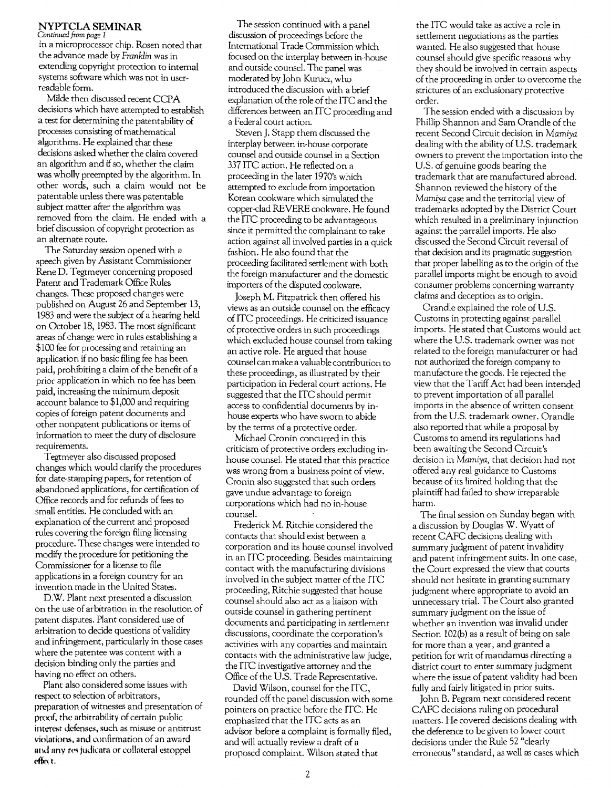### **NYPTCLA SEMINAR**

*Continued* from *page 1* 

in a microprocessor chip. Rosen noted that the advance made by Franklin was in extending copyright protection to internal systems software which was not in userreadable form.

Milde then discussed recent CCPA decisions which have attempted to establish a test for determining the patentability of processes consisting of mathematical algorithms. He explained that these decisions asked whether the claim covered an algorithm and if so, whether the claim was wholly preempted by the algorithm. In other words, such a claim would not be patentable unless there was patentable subject matter after the algorithm was removed from the claim. He ended with a brief discussion of copyright protection as an alternate route.

The Saturday session opened with a speech given by Assistant Commissioner Rene D. Tegtmeyer concerning proposed Patent and Trademark Office Rules changes. These proposed changes were published on August 26 and September 13, 1983 and were the subject of a hearing held on October 18, 1983. The most significant areas of change were in rules establishing a \$100 fee for processing and retaining an application if no basic filing fee has been paid, prohibiting a claim of the benefit of a prior application in which no fee has been paid, incteasing the minimum deposit account balance to \$1,000 and requiring copies of foreign patent documents and other nonpatent publications or items of information to meet the duty of disclosure requirements.

Tegtmeyer also discussed proposed changes which would clarify the procedures for date-stamping papers, for retention of abandoned applications, for certification of Office records and for refunds of fees to small entities. He concluded with an explanation of the current and proposed rules covering the foreign filing licensing procedure. These changes were intended to modify the procedure for petitioning the Commissioner for a license to file applications in a foreign country for an invention made in the United States.

D.W. Plant next presented a discussion on the use of arbitration in the resolution of patent disputes. Plant considered use of arbitration to decide questions of validity and infringement, particularly in those cases where the patentee was content with a decision binding only the parties and having no effect on others.

Plant also considered some issues with respect to selection of arbitrators, preparation of witnesses and presentation of proof, the arbitrability of certain public interest defenses, such as misuse or antitrust violations, and confirmation of an award and any resjudicata or collateral estoppel effect.

The session continued with a panel discussion of proceedings before the International Trade Commission which focused on the interplay between in-house and outside counsel. The panel was moderated by John Kurucz, who introduced the discussion with a brief explanation of. the role of the ITC and the differences between an ITC proceeding and a Federal court action.

Steven J. Stapp them discussed the interplay between in-house corporate counsel and outside counsel in a Section 337 ITC action. He reflected on a proceeding in the later 1970's which attempted to exclude from importation Korean cookware which simulated the copper-clad REVERE cookware. He found the lTC proceeding to be advantageous since it permitted the complainant to take action against all involved parties in a quick fashion. He also found that the proceeding facilitated settlement with both the foreign manufacturer and the domestic importers of the disputed cookware.

Joseph M. Fitzpatrick then offered his views as an outside counsel on the efficacy of ITC proceedings. He criticized issuance of protective orders in such proceedings which excluded house counsel from taking an active role. He argued that house counsel canmake a valuable contribution to these proceedings, as illustrated by their participation in Federal court actions. He suggested that the ITC should permit access to confidential documents by inhouse experts who have sworn to abide by the terms of a protective order.

Michael Cronin concurred in this criticism of protective orders excluding inhouse counseL He stated that this practice was wrong from a business point of view. Cronin also suggested that such orders gave undue advantage to foreign corporations which had no in-house counseL

Frederick M. Ritchie considered the contacts that should exist between a corporation and its house counsel involved in an ITC proceeding. Besides maintaining contact with the manufacturing divisions involved in the subject matter of the ITC proceeding, Ritchie suggested that house counsel should also act as a liaison with outside counsel in gathering pertinent documents and participating in settlement discussions, coordinate the corporation's activities with any coparties and maintain contacts with the administrative law judge, the ITC investigative attorney and the Office of the U.S. Trade Representative.

David Wilson, counsel for the lTC, rounded off the panel discussion with some pointers on practice before the lTC. He emphasized that the ITC acts as an advisor before a complaint is formally filed, and will actually review a draft of a proposed complaint. Wilson stated that

the ITC would take as active a role in settlement negotiations as the parties wanted. He also suggested that house counsel should give specific reasons why they should be involved in certain aspects of the proceeding in order to overcome the strictures of an exclusionary protective order.

The session ended with a discussion by Phillip Shannon and Sam Orandle of the recent Second Circuit decision in Mamiya dealing with the ability of U.S. trademark owners to prevent the importation into the US. of genuine goods bearing the trademark that are manufactured abroad. Shannon reviewed the history of the Mamiya case and the territorial view of trademarks adopted by the District Court which resulted in a preliminary injunction against the parrallel imports. He also discussed the Second Circuit reversal of that decision and its pragmatic suggestion that proper labelling as to the origin of the parallel imports might be enough to avoid consumer problems claims and deception as to

Orandle explained the role of U.S. Customs in protecting against parallel imports. He stated that Customs would act where the U.S. trademark owner was not related to the foreign manufacturer or had not authorized the foreign company to manufacture the goods. He rejected the view that the Tariff Act had been intended to prevent importation of all parallel imports in the absence of written consent from the US. trademark owner. Orandle also reported that while a proposal by Customs to amend its regulations had been awaiting the Second Circuit's decision in Mamiya, that decision had not offered any real guidance to Customs because of its limited holding that the plaintiff had failed to show irreparable harm.

The final session on Sunday began with a discussion by Douglas W. Wyatt of recent CAFC decisions dealing with summary judgment of patent invalidity and patent infringement suits. In one case, the Court expressed the view that courts should not hesitate in granting summary judgment where appropriate to avoid an unnecessary trial. The Court also granted summary judgment on the issue of whether an invention was invalid under Section 102(b) as a result of being on sale for more than a year, and granted a petition for writ of mandamus directing a district court to enter summary judgment where the issue of patent validity had been fully and fairly litigated in prior suits.

John B. Pegram next considered recent CAFC decisions ruling on procedural matters. He covered decisions dealing with the deference to be given to lower court decisions under the Rule 52 "clearly erroneous" standard, as well as cases which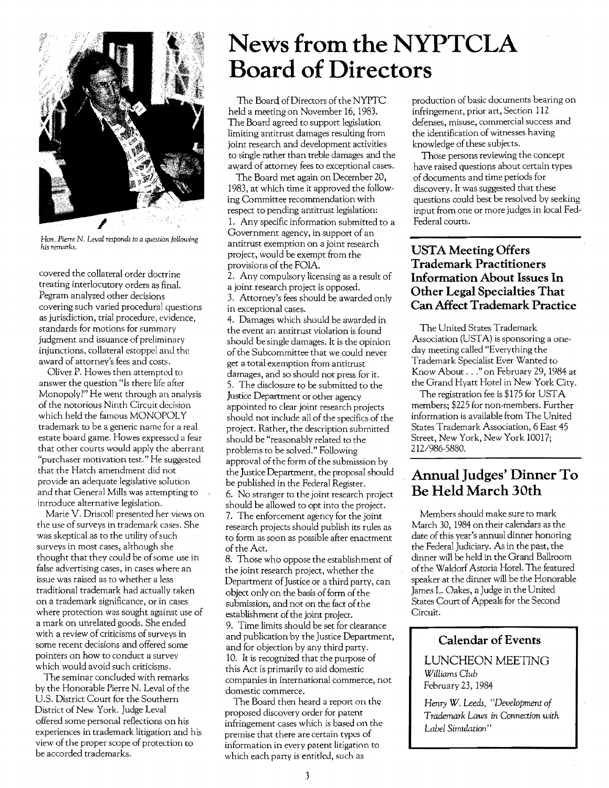

Han. *Pierre* N. *Leval responds to a question following*  his remarks.

covered the collateral order doctrine treating interlocutory orders as final. Pegram analyzed other decisions covering such varied procedural questions as jurisdiction, trial procedure, evidence, standards for motions for summary judgment and issuance of preliminary injunctions, collateral estoppel and the award of attorney's fees and costs.

Oliver P. Howes then attempted to answer the question "Is there life after Monopoly?" He went through an analysis of the notorious Ninth Circuit decision which held the famous MONOPOLY trademark to be a generic name for a real estate board game. Howes expressed a fear that other courts would apply the aberrant "purchaser motivation test." He suggested that the Hatch amendment did not provide an adequate legislative solution and that General Mills was attempting to introduce alternative legislation.

Marie V. Driscoll presented her views on the use of surveys in trademark cases. She was skeptical as to the utility of such surveys in most cases, although she thought that they could be of some use in false advertising cases, in cases where an issue was raised as to whether a less traditional trademark had actually taken on a trademark significance, or in cases where protection was sought against use of a mark on unrelated goods. She ended with a review of criticisms of surveys in some recent decisions and offered some pointers on how to conduct a survey which would avoid such criticisms.

The seminar concluded with remarks by the Honorable Pierre N. Leval of the U.S. District Court for the Southern District of New York. Judge Leval offered some personal reflections on his experiences in trademark litigation and his view of the proper scope of protection to be accorded trademarks.

## News from the NYPTCLA **Board** of Directors

The Board of Directors of the NYPTC held a meeting on November 16, 1983. The Board agreed to support legislation limiting antitrust damages resulting from joint research and development activities to single rather than treble damages and the award of attorney fees to exceptional cases.

The Board met again on December 20, 1983, at which time it approved the following Committee recommendation with respect to pending antitrust legislation: 1. Any specific information submitted to a Government agency, in support of an antitrust exemption on a joint research project, would be exempt from the provisions of the FOIA.

2. Any compulsory licensing as a result of a joint research project is opposed. 3. Attorney's fees should be awarded only in exceptional cases.

4. Damages which should be awarded in the event an antitrust violation is found should be single damages. It is the opinion of the Subcommittee that we could never get a total exemption from antitrust damages, and so should not press for it. 5. The disclosure to be submitted to the Justice Department or other agency appointed to clear joint research projects should not include all of the specifics of the project. Rather, the description submitted should be "reasonably related to the problems to be solved." Following approval of the form of the submission by the Justice Department, the proposaI should be published in the Federal Register. 6. No stranger to the joint research project should be allowed to opt into the project. 7. The enforcement agency for the joint research projects should publish its rules as to form as soon as possible after enactment of the Act.

8. Those who oppose the establishment of the joint research project, whether the Department of Justice or a third party, can object only on the basis of form of the submission, and not on the fact of the establishment of the joint project.

9. Time limits should be set for clearance and publication by the Justice Department, and for objection by any third party. 10. It is recognized that the purpose of this Act is primarily to aid domestic companies in international commerce, not domestic commerce.

The Board then heard a report on the proposed discovery order for patent infringement cases which is based on the premise that there are certain types of information in every patent litigation to which each party is entitled, such as

production of basic documents bearing on infringement, prior art, Section 112 defenses, misuse, commercial success and the identification of witnesses having knowledge of these subjects.

Those persons reviewing the concept have raised questions about certain types of documents and time periods for discovery. It was suggested that these questions could best be resolved by seeking input from one or more judges in local Fed-Federal courts.

### **USTA Meeting Offers Trademark Practitioners Information About Issues In Other Legal Specialties That Can Affect Trademark Practice**

The United States Trademark Association (USTA) is sponsoring a oneday meeting called "Everything the Trademark Specialist Ever Wanted to Know About ..." on February 29,1984 at the Grand Hyatt Hotel in New York City.

The registration fee is \$175 for USTA members; \$225 for non-members. Further information is available from The United States Trademark Association, 6 East 45 Street, New York, New York 10017; 212/986-5880.

### **Annual Judges' Dinner To Be Held March 30th**

Members should make sure to mark March 30,1984 on their calendars as the date of this year's annual dinner honoring the Federal Judiciary. As in the past, the dinner will be held in the Grand Ballroom ofthe Waldorf Astoria Hotel. The featured speaker at the dinner will be the Honorable James L. Oakes, a Judge in the United States Court of Appeals for the Second Circuit.

### **Calendar of Events**

LUNCHEON MEETING *Williams Club*  February 23,1984

*Henry W. Leeds, "Development of Trademark Laws in Connection with Label Simulation"*